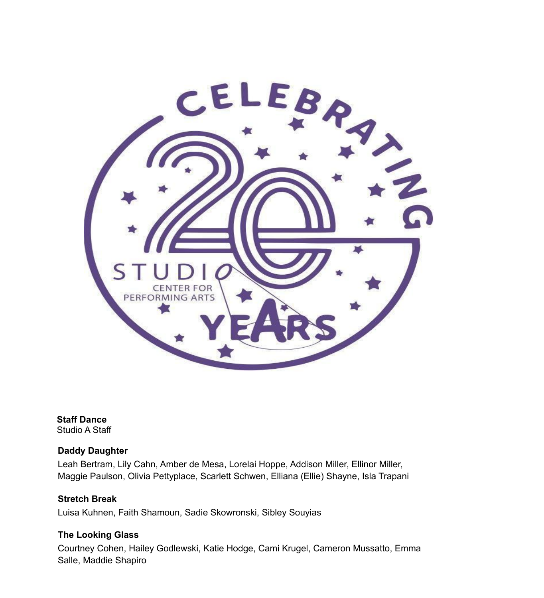

**Staff Dance** Studio A Staff

#### **Daddy Daughter**

Leah Bertram, Lily Cahn, Amber de Mesa, Lorelai Hoppe, Addison Miller, Ellinor Miller, Maggie Paulson, Olivia Pettyplace, Scarlett Schwen, Elliana (Ellie) Shayne, Isla Trapani

**Stretch Break** Luisa Kuhnen, Faith Shamoun, Sadie Skowronski, Sibley Souyias

#### **The Looking Glass**

Courtney Cohen, Hailey Godlewski, Katie Hodge, Cami Krugel, Cameron Mussatto, Emma Salle, Maddie Shapiro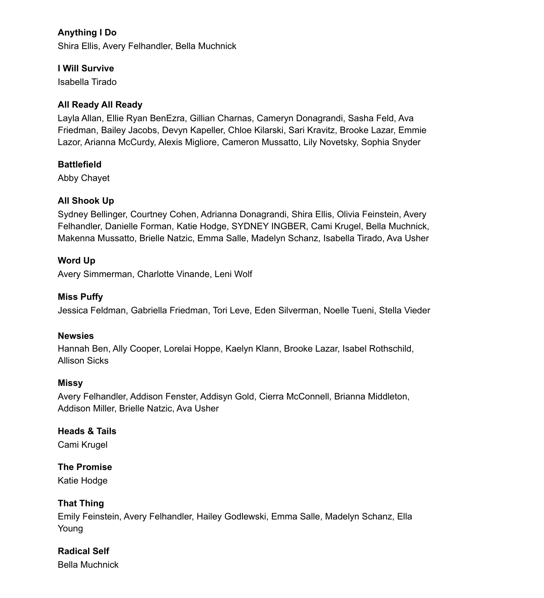# **Anything I Do**

Shira Ellis, Avery Felhandler, Bella Muchnick

#### **I Will Survive**

Isabella Tirado

#### **All Ready All Ready**

Layla Allan, Ellie Ryan BenEzra, Gillian Charnas, Cameryn Donagrandi, Sasha Feld, Ava Friedman, Bailey Jacobs, Devyn Kapeller, Chloe Kilarski, Sari Kravitz, Brooke Lazar, Emmie Lazor, Arianna McCurdy, Alexis Migliore, Cameron Mussatto, Lily Novetsky, Sophia Snyder

#### **Battlefield**

Abby Chayet

# **All Shook Up**

Sydney Bellinger, Courtney Cohen, Adrianna Donagrandi, Shira Ellis, Olivia Feinstein, Avery Felhandler, Danielle Forman, Katie Hodge, SYDNEY INGBER, Cami Krugel, Bella Muchnick, Makenna Mussatto, Brielle Natzic, Emma Salle, Madelyn Schanz, Isabella Tirado, Ava Usher

# **Word Up**

Avery Simmerman, Charlotte Vinande, Leni Wolf

#### **Miss Puffy**

Jessica Feldman, Gabriella Friedman, Tori Leve, Eden Silverman, Noelle Tueni, Stella Vieder

#### **Newsies**

Hannah Ben, Ally Cooper, Lorelai Hoppe, Kaelyn Klann, Brooke Lazar, Isabel Rothschild, Allison Sicks

#### **Missy**

Avery Felhandler, Addison Fenster, Addisyn Gold, Cierra McConnell, Brianna Middleton, Addison Miller, Brielle Natzic, Ava Usher

# **Heads & Tails**

Cami Krugel

# **The Promise**

Katie Hodge

# **That Thing**

Emily Feinstein, Avery Felhandler, Hailey Godlewski, Emma Salle, Madelyn Schanz, Ella Young

# **Radical Self**

Bella Muchnick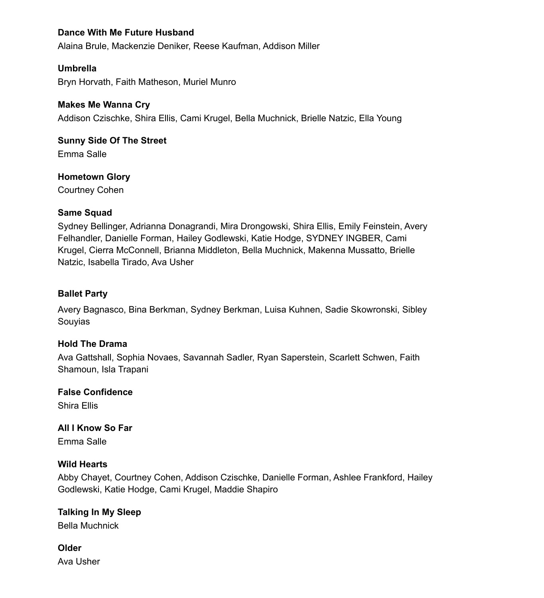#### **Dance With Me Future Husband**

Alaina Brule, Mackenzie Deniker, Reese Kaufman, Addison Miller

#### **Umbrella**

Bryn Horvath, Faith Matheson, Muriel Munro

#### **Makes Me Wanna Cry**

Addison Czischke, Shira Ellis, Cami Krugel, Bella Muchnick, Brielle Natzic, Ella Young

# **Sunny Side Of The Street**

Emma Salle

# **Hometown Glory**

Courtney Cohen

#### **Same Squad**

Sydney Bellinger, Adrianna Donagrandi, Mira Drongowski, Shira Ellis, Emily Feinstein, Avery Felhandler, Danielle Forman, Hailey Godlewski, Katie Hodge, SYDNEY INGBER, Cami Krugel, Cierra McConnell, Brianna Middleton, Bella Muchnick, Makenna Mussatto, Brielle Natzic, Isabella Tirado, Ava Usher

#### **Ballet Party**

Avery Bagnasco, Bina Berkman, Sydney Berkman, Luisa Kuhnen, Sadie Skowronski, Sibley Souyias

# **Hold The Drama**

Ava Gattshall, Sophia Novaes, Savannah Sadler, Ryan Saperstein, Scarlett Schwen, Faith Shamoun, Isla Trapani

# **False Confidence**

Shira Ellis

**All I Know So Far** Emma Salle

# **Wild Hearts**

Abby Chayet, Courtney Cohen, Addison Czischke, Danielle Forman, Ashlee Frankford, Hailey Godlewski, Katie Hodge, Cami Krugel, Maddie Shapiro

# **Talking In My Sleep**

Bella Muchnick

# **Older**

Ava Usher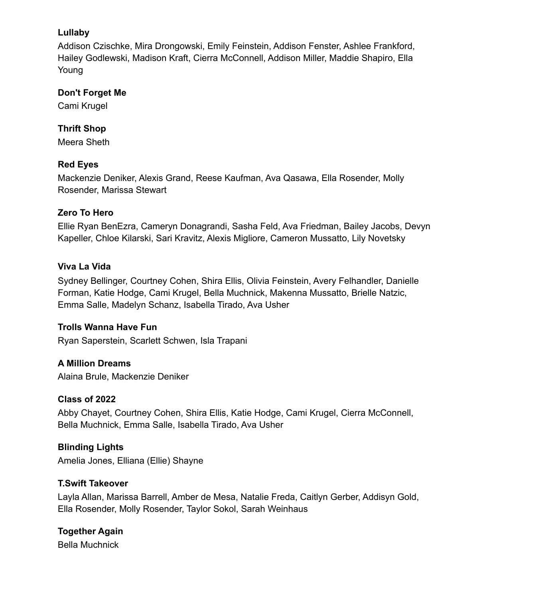# **Lullaby**

Addison Czischke, Mira Drongowski, Emily Feinstein, Addison Fenster, Ashlee Frankford, Hailey Godlewski, Madison Kraft, Cierra McConnell, Addison Miller, Maddie Shapiro, Ella Young

#### **Don't Forget Me**

Cami Krugel

# **Thrift Shop**

Meera Sheth

# **Red Eyes**

Mackenzie Deniker, Alexis Grand, Reese Kaufman, Ava Qasawa, Ella Rosender, Molly Rosender, Marissa Stewart

# **Zero To Hero**

Ellie Ryan BenEzra, Cameryn Donagrandi, Sasha Feld, Ava Friedman, Bailey Jacobs, Devyn Kapeller, Chloe Kilarski, Sari Kravitz, Alexis Migliore, Cameron Mussatto, Lily Novetsky

# **Viva La Vida**

Sydney Bellinger, Courtney Cohen, Shira Ellis, Olivia Feinstein, Avery Felhandler, Danielle Forman, Katie Hodge, Cami Krugel, Bella Muchnick, Makenna Mussatto, Brielle Natzic, Emma Salle, Madelyn Schanz, Isabella Tirado, Ava Usher

# **Trolls Wanna Have Fun**

Ryan Saperstein, Scarlett Schwen, Isla Trapani

# **A Million Dreams**

Alaina Brule, Mackenzie Deniker

# **Class of 2022**

Abby Chayet, Courtney Cohen, Shira Ellis, Katie Hodge, Cami Krugel, Cierra McConnell, Bella Muchnick, Emma Salle, Isabella Tirado, Ava Usher

# **Blinding Lights**

Amelia Jones, Elliana (Ellie) Shayne

# **T.Swift Takeover**

Layla Allan, Marissa Barrell, Amber de Mesa, Natalie Freda, Caitlyn Gerber, Addisyn Gold, Ella Rosender, Molly Rosender, Taylor Sokol, Sarah Weinhaus

#### **Together Again** Bella Muchnick